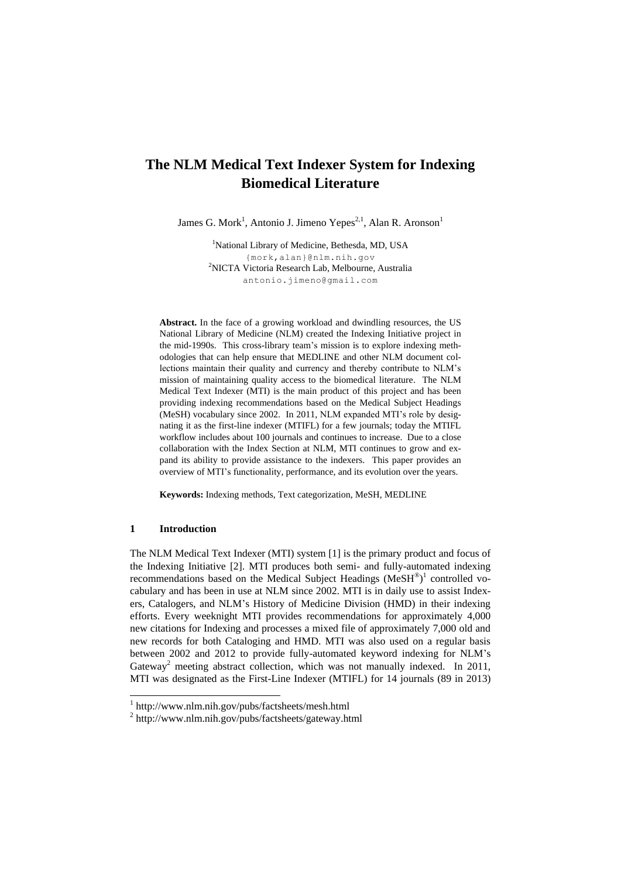# **The NLM Medical Text Indexer System for Indexing Biomedical Literature**

James G. Mork<sup>1</sup>, Antonio J. Jimeno Yepes<sup>2,1</sup>, Alan R. Aronson<sup>1</sup>

<sup>1</sup>National Library of Medicine, Bethesda, MD, USA {mork,alan}@nlm.nih.gov <sup>2</sup>NICTA Victoria Research Lab, Melbourne, Australia [antonio.jimeno@gmail.com](mailto:antonio.jimeno@gmail.com)

Abstract. In the face of a growing workload and dwindling resources, the US National Library of Medicine (NLM) created the Indexing Initiative project in the mid-1990s. This cross-library team's mission is to explore indexing methodologies that can help ensure that MEDLINE and other NLM document collections maintain their quality and currency and thereby contribute to NLM's mission of maintaining quality access to the biomedical literature. The NLM Medical Text Indexer (MTI) is the main product of this project and has been providing indexing recommendations based on the Medical Subject Headings (MeSH) vocabulary since 2002. In 2011, NLM expanded MTI's role by designating it as the first-line indexer (MTIFL) for a few journals; today the MTIFL workflow includes about 100 journals and continues to increase. Due to a close collaboration with the Index Section at NLM, MTI continues to grow and expand its ability to provide assistance to the indexers. This paper provides an overview of MTI's functionality, performance, and its evolution over the years.

**Keywords:** Indexing methods, Text categorization, MeSH, MEDLINE

### **1 Introduction**

The NLM Medical Text Indexer (MTI) system [1] is the primary product and focus of the Indexing Initiative [2]. MTI produces both semi- and fully-automated indexing recommendations based on the Medical Subject Headings  $(MeSH<sup>®</sup>)<sup>1</sup>$  controlled vocabulary and has been in use at NLM since 2002. MTI is in daily use to assist Indexers, Catalogers, and NLM's History of Medicine Division (HMD) in their indexing efforts. Every weeknight MTI provides recommendations for approximately 4,000 new citations for Indexing and processes a mixed file of approximately 7,000 old and new records for both Cataloging and HMD. MTI was also used on a regular basis between 2002 and 2012 to provide fully-automated keyword indexing for NLM's Gateway<sup>2</sup> meeting abstract collection, which was not manually indexed. In 2011, MTI was designated as the First-Line Indexer (MTIFL) for 14 journals (89 in 2013)

 1 http://www.nlm.nih.gov/pubs/factsheets/mesh.html

<sup>2</sup> http://www.nlm.nih.gov/pubs/factsheets/gateway.html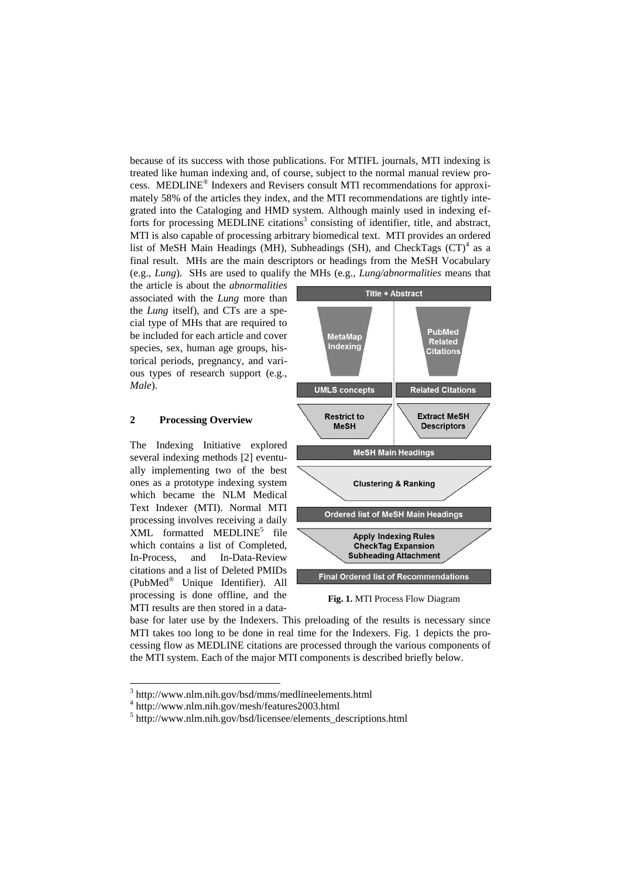because of its success with those publications. For MTIFL journals, MTI indexing is treated like human indexing and, of course, subject to the normal manual review process. MEDLINE® Indexers and Revisers consult MTI recommendations for approximately 58% of the articles they index, and the MTI recommendations are tightly integrated into the Cataloging and HMD system. Although mainly used in indexing efforts for processing MEDLINE citations<sup>3</sup> consisting of identifier, title, and abstract, MTI is also capable of processing arbitrary biomedical text. MTI provides an ordered list of MeSH Main Headings (MH), Subheadings (SH), and CheckTags (CT)<sup>4</sup> as a final result. MHs are the main descriptors or headings from the MeSH Vocabulary (e.g., *Lung*). SHs are used to qualify the MHs (e.g., *Lung/abnormalities* means that

the article is about the *abnormalities* associated with the *Lung* more than the *Lung* itself), and CTs are a special type of MHs that are required to be included for each article and cover species, sex, human age groups, historical periods, pregnancy, and various types of research support (e.g., *Male*).

# **2 Processing Overview**

The Indexing Initiative explored several indexing methods [2] eventually implementing two of the best ones as a prototype indexing system which became the NLM Medical Text Indexer (MTI). Normal MTI processing involves receiving a daily XML formatted MEDLINE<sup>5</sup> file which contains a list of Completed, In-Process, and In-Data-Review citations and a list of Deleted PMIDs (PubMed® Unique Identifier). All processing is done offline, and the MTI results are then stored in a data-



**Fig. 1.** MTI Process Flow Diagram

base for later use by the Indexers. This preloading of the results is necessary since MTI takes too long to be done in real time for the Indexers. Fig. 1 depicts the processing flow as MEDLINE citations are processed through the various components of the MTI system. Each of the major MTI components is described briefly below.

 $\overline{a}$ 

<sup>3</sup> http://www.nlm.nih.gov/bsd/mms/medlineelements.html

<sup>4</sup> http://www.nlm.nih.gov/mesh/features2003.html

<sup>5</sup> http://www.nlm.nih.gov/bsd/licensee/elements\_descriptions.html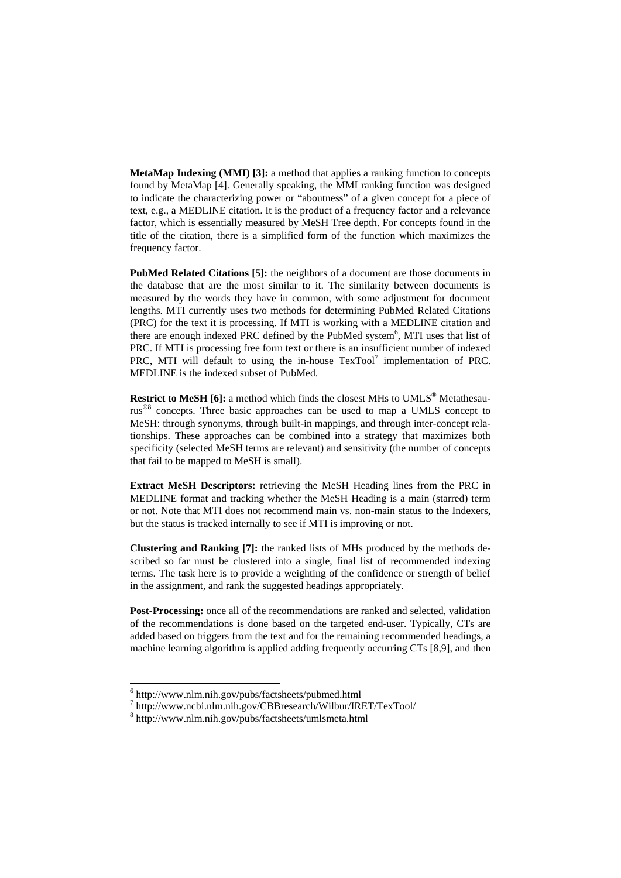**MetaMap Indexing (MMI) [3]:** a method that applies a ranking function to concepts found by MetaMap [4]. Generally speaking, the MMI ranking function was designed to indicate the characterizing power or "aboutness" of a given concept for a piece of text, e.g., a MEDLINE citation. It is the product of a frequency factor and a relevance factor, which is essentially measured by MeSH Tree depth. For concepts found in the title of the citation, there is a simplified form of the function which maximizes the frequency factor.

**PubMed Related Citations [5]:** the neighbors of a document are those documents in the database that are the most similar to it. The similarity between documents is measured by the words they have in common, with some adjustment for document lengths. MTI currently uses two methods for determining PubMed Related Citations (PRC) for the text it is processing. If MTI is working with a MEDLINE citation and there are enough indexed PRC defined by the PubMed system<sup>6</sup>, MTI uses that list of PRC. If MTI is processing free form text or there is an insufficient number of indexed PRC, MTI will default to using the in-house  $TextPool<sup>7</sup>$  implementation of PRC. MEDLINE is the indexed subset of PubMed.

**Restrict to MeSH [6]:** a method which finds the closest MHs to UMLS<sup>®</sup> Metathesaurus<sup>®8</sup> concepts. Three basic approaches can be used to map a UMLS concept to MeSH: through synonyms, through built-in mappings, and through inter-concept relationships. These approaches can be combined into a strategy that maximizes both specificity (selected MeSH terms are relevant) and sensitivity (the number of concepts that fail to be mapped to MeSH is small).

**Extract MeSH Descriptors:** retrieving the MeSH Heading lines from the PRC in MEDLINE format and tracking whether the MeSH Heading is a main (starred) term or not. Note that MTI does not recommend main vs. non-main status to the Indexers, but the status is tracked internally to see if MTI is improving or not.

**Clustering and Ranking [7]:** the ranked lists of MHs produced by the methods described so far must be clustered into a single, final list of recommended indexing terms. The task here is to provide a weighting of the confidence or strength of belief in the assignment, and rank the suggested headings appropriately.

**Post-Processing:** once all of the recommendations are ranked and selected, validation of the recommendations is done based on the targeted end-user. Typically, CTs are added based on triggers from the text and for the remaining recommended headings, a machine learning algorithm is applied adding frequently occurring CTs [8,9], and then

 $\overline{a}$ 

<sup>6</sup> http://www.nlm.nih.gov/pubs/factsheets/pubmed.html

<sup>7</sup> http://www.ncbi.nlm.nih.gov/CBBresearch/Wilbur/IRET/TexTool/

<sup>8</sup> http://www.nlm.nih.gov/pubs/factsheets/umlsmeta.html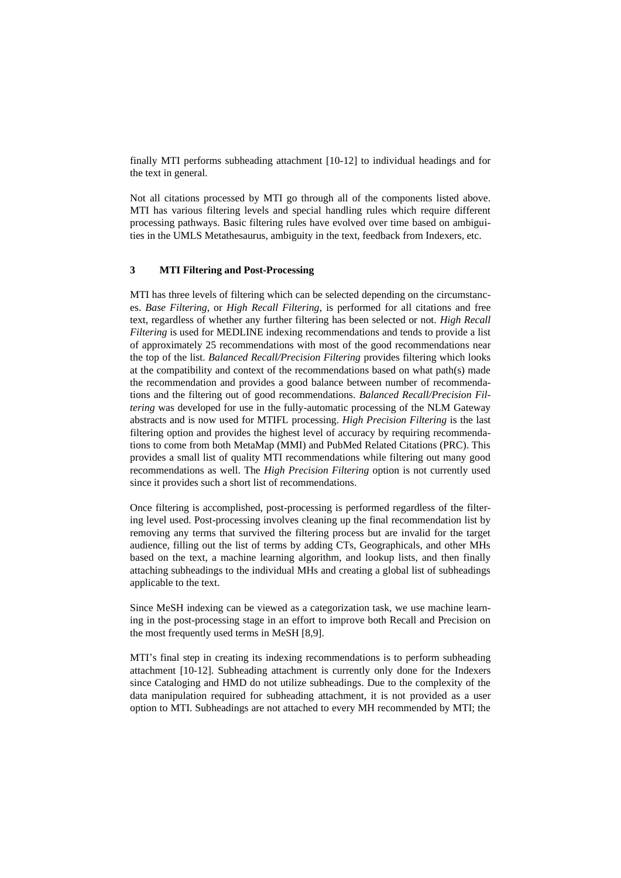finally MTI performs subheading attachment [10-12] to individual headings and for the text in general.

Not all citations processed by MTI go through all of the components listed above. MTI has various filtering levels and special handling rules which require different processing pathways. Basic filtering rules have evolved over time based on ambiguities in the UMLS Metathesaurus, ambiguity in the text, feedback from Indexers, etc.

# **3 MTI Filtering and Post-Processing**

MTI has three levels of filtering which can be selected depending on the circumstances. *Base Filtering*, or *High Recall Filtering*, is performed for all citations and free text, regardless of whether any further filtering has been selected or not. *High Recall Filtering* is used for MEDLINE indexing recommendations and tends to provide a list of approximately 25 recommendations with most of the good recommendations near the top of the list. *Balanced Recall/Precision Filtering* provides filtering which looks at the compatibility and context of the recommendations based on what path(s) made the recommendation and provides a good balance between number of recommendations and the filtering out of good recommendations. *Balanced Recall/Precision Filtering* was developed for use in the fully-automatic processing of the NLM Gateway abstracts and is now used for MTIFL processing. *High Precision Filtering* is the last filtering option and provides the highest level of accuracy by requiring recommendations to come from both MetaMap (MMI) and PubMed Related Citations (PRC). This provides a small list of quality MTI recommendations while filtering out many good recommendations as well. The *High Precision Filtering* option is not currently used since it provides such a short list of recommendations.

Once filtering is accomplished, post-processing is performed regardless of the filtering level used. Post-processing involves cleaning up the final recommendation list by removing any terms that survived the filtering process but are invalid for the target audience, filling out the list of terms by adding CTs, Geographicals, and other MHs based on the text, a machine learning algorithm, and lookup lists, and then finally attaching subheadings to the individual MHs and creating a global list of subheadings applicable to the text.

Since MeSH indexing can be viewed as a categorization task, we use machine learning in the post-processing stage in an effort to improve both Recall and Precision on the most frequently used terms in MeSH [8,9].

MTI's final step in creating its indexing recommendations is to perform subheading attachment [10-12]. Subheading attachment is currently only done for the Indexers since Cataloging and HMD do not utilize subheadings. Due to the complexity of the data manipulation required for subheading attachment, it is not provided as a user option to MTI. Subheadings are not attached to every MH recommended by MTI; the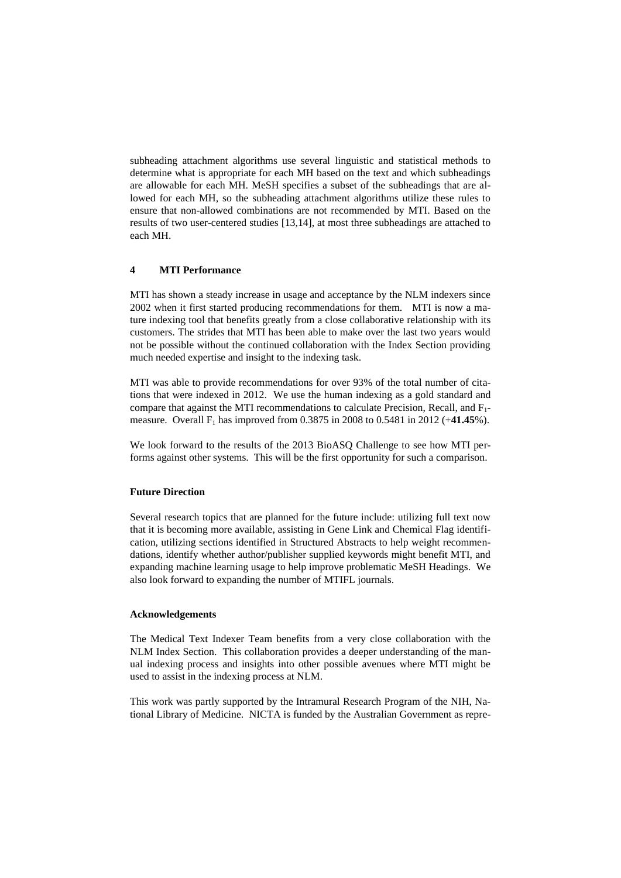subheading attachment algorithms use several linguistic and statistical methods to determine what is appropriate for each MH based on the text and which subheadings are allowable for each MH. MeSH specifies a subset of the subheadings that are allowed for each MH, so the subheading attachment algorithms utilize these rules to ensure that non-allowed combinations are not recommended by MTI. Based on the results of two user-centered studies [13,14], at most three subheadings are attached to each MH.

## **4 MTI Performance**

MTI has shown a steady increase in usage and acceptance by the NLM indexers since 2002 when it first started producing recommendations for them. MTI is now a mature indexing tool that benefits greatly from a close collaborative relationship with its customers. The strides that MTI has been able to make over the last two years would not be possible without the continued collaboration with the Index Section providing much needed expertise and insight to the indexing task.

MTI was able to provide recommendations for over 93% of the total number of citations that were indexed in 2012. We use the human indexing as a gold standard and compare that against the MTI recommendations to calculate Precision, Recall, and F1 measure. Overall F<sup>1</sup> has improved from 0.3875 in 2008 to 0.5481 in 2012 (+**41.45**%).

We look forward to the results of the 2013 BioASQ Challenge to see how MTI performs against other systems. This will be the first opportunity for such a comparison.

#### **Future Direction**

Several research topics that are planned for the future include: utilizing full text now that it is becoming more available, assisting in Gene Link and Chemical Flag identification, utilizing sections identified in Structured Abstracts to help weight recommendations, identify whether author/publisher supplied keywords might benefit MTI, and expanding machine learning usage to help improve problematic MeSH Headings. We also look forward to expanding the number of MTIFL journals.

#### **Acknowledgements**

The Medical Text Indexer Team benefits from a very close collaboration with the NLM Index Section. This collaboration provides a deeper understanding of the manual indexing process and insights into other possible avenues where MTI might be used to assist in the indexing process at NLM.

This work was partly supported by the Intramural Research Program of the NIH, National Library of Medicine. NICTA is funded by the Australian Government as repre